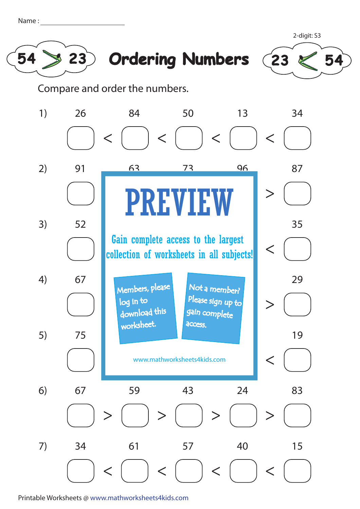| Name |  |
|------|--|
|      |  |







Compare and order the numbers.



Printable Worksheets @ www.mathworksheets4kids.com